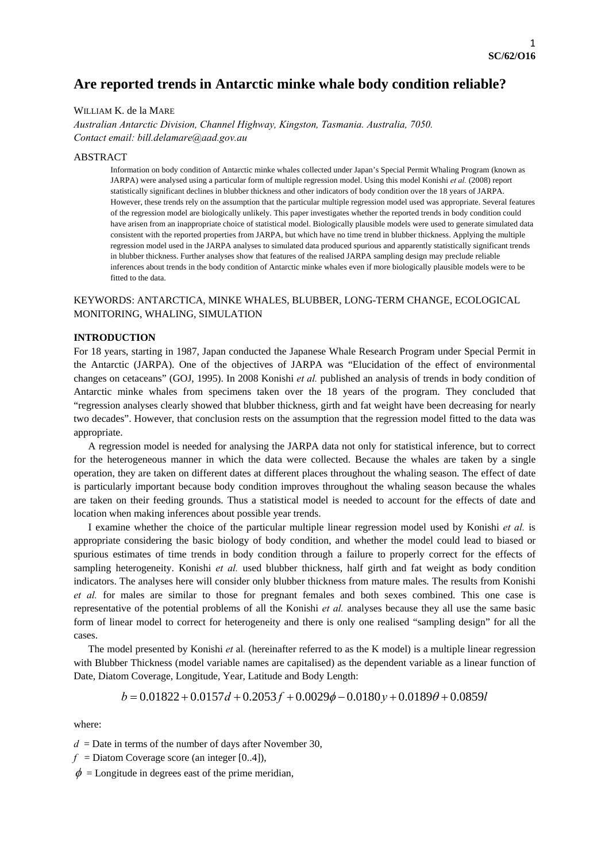# **Are reported trends in Antarctic minke whale body condition reliable?**

## WILLIAM K. de la MARE

*Australian Antarctic Division, Channel Highway, Kingston, Tasmania. Australia, 7050. Contact email: bill.delamare@aad.gov.au* 

### ABSTRACT

Information on body condition of Antarctic minke whales collected under Japan's Special Permit Whaling Program (known as JARPA) were analysed using a particular form of multiple regression model. Using this model Konishi *et al.* (2008) report statistically significant declines in blubber thickness and other indicators of body condition over the 18 years of JARPA. However, these trends rely on the assumption that the particular multiple regression model used was appropriate. Several features of the regression model are biologically unlikely. This paper investigates whether the reported trends in body condition could have arisen from an inappropriate choice of statistical model. Biologically plausible models were used to generate simulated data consistent with the reported properties from JARPA, but which have no time trend in blubber thickness. Applying the multiple regression model used in the JARPA analyses to simulated data produced spurious and apparently statistically significant trends in blubber thickness. Further analyses show that features of the realised JARPA sampling design may preclude reliable inferences about trends in the body condition of Antarctic minke whales even if more biologically plausible models were to be fitted to the data.

## KEYWORDS: ANTARCTICA, MINKE WHALES, BLUBBER, LONG-TERM CHANGE, ECOLOGICAL MONITORING, WHALING, SIMULATION

### **INTRODUCTION**

For 18 years, starting in 1987, Japan conducted the Japanese Whale Research Program under Special Permit in the Antarctic (JARPA). One of the objectives of JARPA was "Elucidation of the effect of environmental changes on cetaceans" (GOJ, 1995). In 2008 Konishi *et al.* published an analysis of trends in body condition of Antarctic minke whales from specimens taken over the 18 years of the program. They concluded that "regression analyses clearly showed that blubber thickness, girth and fat weight have been decreasing for nearly two decades". However, that conclusion rests on the assumption that the regression model fitted to the data was appropriate.

A regression model is needed for analysing the JARPA data not only for statistical inference, but to correct for the heterogeneous manner in which the data were collected. Because the whales are taken by a single operation, they are taken on different dates at different places throughout the whaling season. The effect of date is particularly important because body condition improves throughout the whaling season because the whales are taken on their feeding grounds. Thus a statistical model is needed to account for the effects of date and location when making inferences about possible year trends.

I examine whether the choice of the particular multiple linear regression model used by Konishi *et al.* is appropriate considering the basic biology of body condition, and whether the model could lead to biased or spurious estimates of time trends in body condition through a failure to properly correct for the effects of sampling heterogeneity. Konishi *et al.* used blubber thickness, half girth and fat weight as body condition indicators. The analyses here will consider only blubber thickness from mature males. The results from Konishi *et al.* for males are similar to those for pregnant females and both sexes combined. This one case is representative of the potential problems of all the Konishi *et al.* analyses because they all use the same basic form of linear model to correct for heterogeneity and there is only one realised "sampling design" for all the cases.

The model presented by Konishi *et* al*.* (hereinafter referred to as the K model) is a multiple linear regression with Blubber Thickness (model variable names are capitalised) as the dependent variable as a linear function of Date, Diatom Coverage, Longitude, Year, Latitude and Body Length:

$$
b = 0.01822 + 0.0157d + 0.2053f + 0.0029\phi - 0.0180y + 0.0189\theta + 0.0859l
$$

where:

 $d =$ Date in terms of the number of days after November 30,

 $f =$ Diatom Coverage score (an integer [0..4]),

 $\phi$  = Longitude in degrees east of the prime meridian,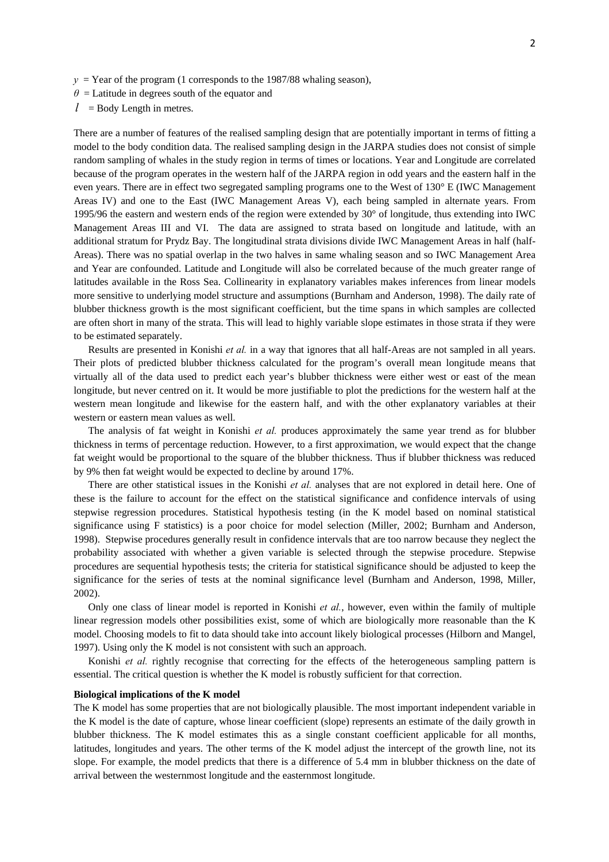- $y = \text{Year of the program (1 corresponds to the 1987/88, which is the same as follows.)}$
- $\theta$  = Latitude in degrees south of the equator and
- $l =$ Body Length in metres.

There are a number of features of the realised sampling design that are potentially important in terms of fitting a model to the body condition data. The realised sampling design in the JARPA studies does not consist of simple random sampling of whales in the study region in terms of times or locations. Year and Longitude are correlated because of the program operates in the western half of the JARPA region in odd years and the eastern half in the even years. There are in effect two segregated sampling programs one to the West of 130° E (IWC Management Areas IV) and one to the East (IWC Management Areas V), each being sampled in alternate years. From 1995/96 the eastern and western ends of the region were extended by 30° of longitude, thus extending into IWC Management Areas III and VI. The data are assigned to strata based on longitude and latitude, with an additional stratum for Prydz Bay. The longitudinal strata divisions divide IWC Management Areas in half (half-Areas). There was no spatial overlap in the two halves in same whaling season and so IWC Management Area and Year are confounded. Latitude and Longitude will also be correlated because of the much greater range of latitudes available in the Ross Sea. Collinearity in explanatory variables makes inferences from linear models more sensitive to underlying model structure and assumptions (Burnham and Anderson, 1998). The daily rate of blubber thickness growth is the most significant coefficient, but the time spans in which samples are collected are often short in many of the strata. This will lead to highly variable slope estimates in those strata if they were to be estimated separately.

Results are presented in Konishi *et al.* in a way that ignores that all half-Areas are not sampled in all years. Their plots of predicted blubber thickness calculated for the program's overall mean longitude means that virtually all of the data used to predict each year's blubber thickness were either west or east of the mean longitude, but never centred on it. It would be more justifiable to plot the predictions for the western half at the western mean longitude and likewise for the eastern half, and with the other explanatory variables at their western or eastern mean values as well.

The analysis of fat weight in Konishi *et al.* produces approximately the same year trend as for blubber thickness in terms of percentage reduction. However, to a first approximation, we would expect that the change fat weight would be proportional to the square of the blubber thickness. Thus if blubber thickness was reduced by 9% then fat weight would be expected to decline by around 17%.

There are other statistical issues in the Konishi *et al.* analyses that are not explored in detail here. One of these is the failure to account for the effect on the statistical significance and confidence intervals of using stepwise regression procedures. Statistical hypothesis testing (in the K model based on nominal statistical significance using F statistics) is a poor choice for model selection (Miller, 2002; Burnham and Anderson, 1998). Stepwise procedures generally result in confidence intervals that are too narrow because they neglect the probability associated with whether a given variable is selected through the stepwise procedure. Stepwise procedures are sequential hypothesis tests; the criteria for statistical significance should be adjusted to keep the significance for the series of tests at the nominal significance level (Burnham and Anderson, 1998, Miller, 2002).

Only one class of linear model is reported in Konishi *et al.*, however, even within the family of multiple linear regression models other possibilities exist, some of which are biologically more reasonable than the K model. Choosing models to fit to data should take into account likely biological processes (Hilborn and Mangel, 1997). Using only the K model is not consistent with such an approach.

Konishi *et al.* rightly recognise that correcting for the effects of the heterogeneous sampling pattern is essential. The critical question is whether the K model is robustly sufficient for that correction.

#### **Biological implications of the K model**

The K model has some properties that are not biologically plausible. The most important independent variable in the K model is the date of capture, whose linear coefficient (slope) represents an estimate of the daily growth in blubber thickness. The K model estimates this as a single constant coefficient applicable for all months, latitudes, longitudes and years. The other terms of the K model adjust the intercept of the growth line, not its slope. For example, the model predicts that there is a difference of 5.4 mm in blubber thickness on the date of arrival between the westernmost longitude and the easternmost longitude.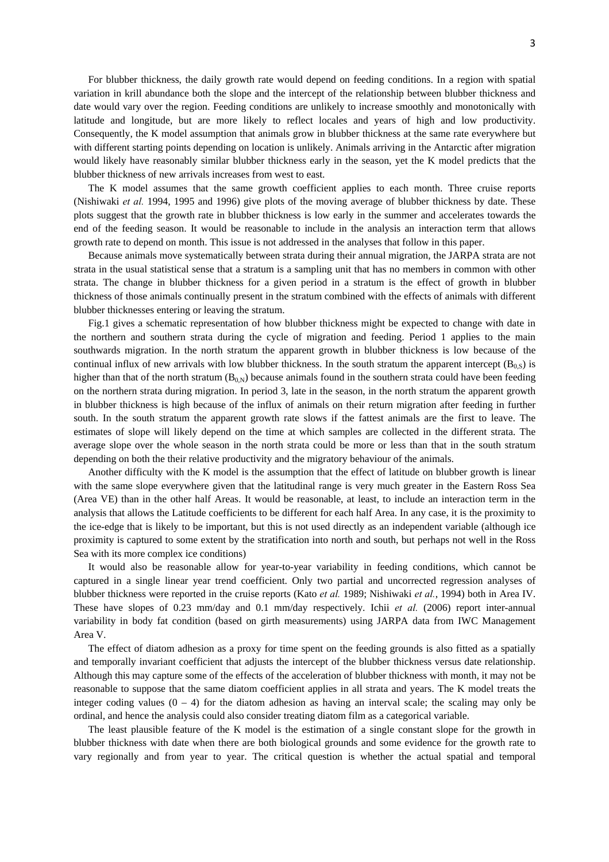For blubber thickness, the daily growth rate would depend on feeding conditions. In a region with spatial variation in krill abundance both the slope and the intercept of the relationship between blubber thickness and date would vary over the region. Feeding conditions are unlikely to increase smoothly and monotonically with latitude and longitude, but are more likely to reflect locales and years of high and low productivity. Consequently, the K model assumption that animals grow in blubber thickness at the same rate everywhere but with different starting points depending on location is unlikely. Animals arriving in the Antarctic after migration would likely have reasonably similar blubber thickness early in the season, yet the K model predicts that the blubber thickness of new arrivals increases from west to east.

The K model assumes that the same growth coefficient applies to each month. Three cruise reports (Nishiwaki *et al.* 1994, 1995 and 1996) give plots of the moving average of blubber thickness by date. These plots suggest that the growth rate in blubber thickness is low early in the summer and accelerates towards the end of the feeding season. It would be reasonable to include in the analysis an interaction term that allows growth rate to depend on month. This issue is not addressed in the analyses that follow in this paper.

Because animals move systematically between strata during their annual migration, the JARPA strata are not strata in the usual statistical sense that a stratum is a sampling unit that has no members in common with other strata. The change in blubber thickness for a given period in a stratum is the effect of growth in blubber thickness of those animals continually present in the stratum combined with the effects of animals with different blubber thicknesses entering or leaving the stratum.

Fig.1 gives a schematic representation of how blubber thickness might be expected to change with date in the northern and southern strata during the cycle of migration and feeding. Period 1 applies to the main southwards migration. In the north stratum the apparent growth in blubber thickness is low because of the continual influx of new arrivals with low blubber thickness. In the south stratum the apparent intercept  $(B_{0,s})$  is higher than that of the north stratum  $(B_{0,N})$  because animals found in the southern strata could have been feeding on the northern strata during migration. In period 3, late in the season, in the north stratum the apparent growth in blubber thickness is high because of the influx of animals on their return migration after feeding in further south. In the south stratum the apparent growth rate slows if the fattest animals are the first to leave. The estimates of slope will likely depend on the time at which samples are collected in the different strata. The average slope over the whole season in the north strata could be more or less than that in the south stratum depending on both the their relative productivity and the migratory behaviour of the animals.

Another difficulty with the K model is the assumption that the effect of latitude on blubber growth is linear with the same slope everywhere given that the latitudinal range is very much greater in the Eastern Ross Sea (Area VE) than in the other half Areas. It would be reasonable, at least, to include an interaction term in the analysis that allows the Latitude coefficients to be different for each half Area. In any case, it is the proximity to the ice-edge that is likely to be important, but this is not used directly as an independent variable (although ice proximity is captured to some extent by the stratification into north and south, but perhaps not well in the Ross Sea with its more complex ice conditions)

It would also be reasonable allow for year-to-year variability in feeding conditions, which cannot be captured in a single linear year trend coefficient. Only two partial and uncorrected regression analyses of blubber thickness were reported in the cruise reports (Kato *et al.* 1989; Nishiwaki *et al.*, 1994) both in Area IV. These have slopes of 0.23 mm/day and 0.1 mm/day respectively. Ichii *et al.* (2006) report inter-annual variability in body fat condition (based on girth measurements) using JARPA data from IWC Management Area V.

The effect of diatom adhesion as a proxy for time spent on the feeding grounds is also fitted as a spatially and temporally invariant coefficient that adjusts the intercept of the blubber thickness versus date relationship. Although this may capture some of the effects of the acceleration of blubber thickness with month, it may not be reasonable to suppose that the same diatom coefficient applies in all strata and years. The K model treats the integer coding values  $(0 - 4)$  for the diatom adhesion as having an interval scale; the scaling may only be ordinal, and hence the analysis could also consider treating diatom film as a categorical variable.

The least plausible feature of the K model is the estimation of a single constant slope for the growth in blubber thickness with date when there are both biological grounds and some evidence for the growth rate to vary regionally and from year to year. The critical question is whether the actual spatial and temporal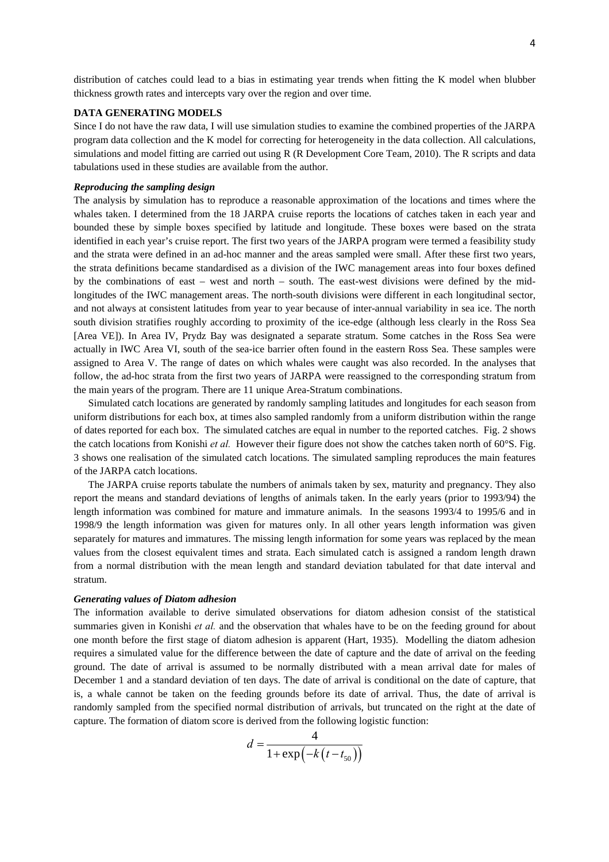distribution of catches could lead to a bias in estimating year trends when fitting the K model when blubber thickness growth rates and intercepts vary over the region and over time.

## **DATA GENERATING MODELS**

Since I do not have the raw data, I will use simulation studies to examine the combined properties of the JARPA program data collection and the K model for correcting for heterogeneity in the data collection. All calculations, simulations and model fitting are carried out using R (R Development Core Team, 2010). The R scripts and data tabulations used in these studies are available from the author.

## *Reproducing the sampling design*

The analysis by simulation has to reproduce a reasonable approximation of the locations and times where the whales taken. I determined from the 18 JARPA cruise reports the locations of catches taken in each year and bounded these by simple boxes specified by latitude and longitude. These boxes were based on the strata identified in each year's cruise report. The first two years of the JARPA program were termed a feasibility study and the strata were defined in an ad-hoc manner and the areas sampled were small. After these first two years, the strata definitions became standardised as a division of the IWC management areas into four boxes defined by the combinations of east – west and north – south. The east-west divisions were defined by the midlongitudes of the IWC management areas. The north-south divisions were different in each longitudinal sector, and not always at consistent latitudes from year to year because of inter-annual variability in sea ice. The north south division stratifies roughly according to proximity of the ice-edge (although less clearly in the Ross Sea [Area VE]). In Area IV, Prydz Bay was designated a separate stratum. Some catches in the Ross Sea were actually in IWC Area VI, south of the sea-ice barrier often found in the eastern Ross Sea. These samples were assigned to Area V. The range of dates on which whales were caught was also recorded. In the analyses that follow, the ad-hoc strata from the first two years of JARPA were reassigned to the corresponding stratum from the main years of the program. There are 11 unique Area-Stratum combinations.

Simulated catch locations are generated by randomly sampling latitudes and longitudes for each season from uniform distributions for each box, at times also sampled randomly from a uniform distribution within the range of dates reported for each box. The simulated catches are equal in number to the reported catches. Fig. 2 shows the catch locations from Konishi *et al.* However their figure does not show the catches taken north of 60°S. Fig. 3 shows one realisation of the simulated catch locations. The simulated sampling reproduces the main features of the JARPA catch locations.

The JARPA cruise reports tabulate the numbers of animals taken by sex, maturity and pregnancy. They also report the means and standard deviations of lengths of animals taken. In the early years (prior to 1993/94) the length information was combined for mature and immature animals. In the seasons 1993/4 to 1995/6 and in 1998/9 the length information was given for matures only. In all other years length information was given separately for matures and immatures. The missing length information for some years was replaced by the mean values from the closest equivalent times and strata. Each simulated catch is assigned a random length drawn from a normal distribution with the mean length and standard deviation tabulated for that date interval and stratum.

#### *Generating values of Diatom adhesion*

The information available to derive simulated observations for diatom adhesion consist of the statistical summaries given in Konishi *et al.* and the observation that whales have to be on the feeding ground for about one month before the first stage of diatom adhesion is apparent (Hart, 1935). Modelling the diatom adhesion requires a simulated value for the difference between the date of capture and the date of arrival on the feeding ground. The date of arrival is assumed to be normally distributed with a mean arrival date for males of December 1 and a standard deviation of ten days. The date of arrival is conditional on the date of capture, that is, a whale cannot be taken on the feeding grounds before its date of arrival. Thus, the date of arrival is randomly sampled from the specified normal distribution of arrivals, but truncated on the right at the date of capture. The formation of diatom score is derived from the following logistic function:

$$
d = \frac{4}{1 + \exp(-k(t - t_{50}))}
$$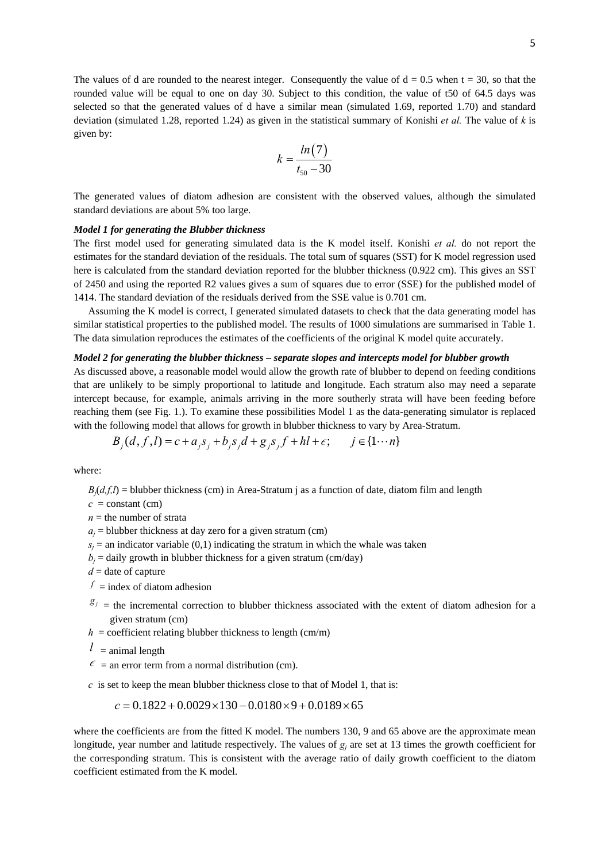The values of d are rounded to the nearest integer. Consequently the value of  $d = 0.5$  when  $t = 30$ , so that the rounded value will be equal to one on day 30. Subject to this condition, the value of t50 of 64.5 days was selected so that the generated values of d have a similar mean (simulated 1.69, reported 1.70) and standard deviation (simulated 1.28, reported 1.24) as given in the statistical summary of Konishi *et al.* The value of *k* is given by:

$$
k = \frac{\ln(7)}{t_{50} - 30}
$$

The generated values of diatom adhesion are consistent with the observed values, although the simulated standard deviations are about 5% too large.

## *Model 1 for generating the Blubber thickness*

The first model used for generating simulated data is the K model itself. Konishi *et al.* do not report the estimates for the standard deviation of the residuals. The total sum of squares (SST) for K model regression used here is calculated from the standard deviation reported for the blubber thickness (0.922 cm). This gives an SST of 2450 and using the reported R2 values gives a sum of squares due to error (SSE) for the published model of 1414. The standard deviation of the residuals derived from the SSE value is 0.701 cm.

Assuming the K model is correct, I generated simulated datasets to check that the data generating model has similar statistical properties to the published model. The results of 1000 simulations are summarised in Table 1. The data simulation reproduces the estimates of the coefficients of the original K model quite accurately.

### *Model 2 for generating the blubber thickness – separate slopes and intercepts model for blubber growth*

As discussed above, a reasonable model would allow the growth rate of blubber to depend on feeding conditions that are unlikely to be simply proportional to latitude and longitude. Each stratum also may need a separate intercept because, for example, animals arriving in the more southerly strata will have been feeding before reaching them (see Fig. 1.). To examine these possibilities Model 1 as the data-generating simulator is replaced with the following model that allows for growth in blubber thickness to vary by Area-Stratum.

$$
B_j(d, f, l) = c + a_j s_j + b_j s_j d + g_j s_j f + hl + \epsilon; \qquad j \in \{1 \cdots n\}
$$

where:

 $B_i(d, f, l)$  = blubber thickness (cm) in Area-Stratum *i* as a function of date, diatom film and length

 $c = constant$  (cm)

$$
n =
$$
 the number of strata

 $a_i$  = blubber thickness at day zero for a given stratum (cm)

- $s_i$  = an indicator variable (0,1) indicating the stratum in which the whale was taken
- $b_i$  = daily growth in blubber thickness for a given stratum (cm/day)

*d* = date of capture

- $f =$ index of diatom adhesion
- $g_j$  = the incremental correction to blubber thickness associated with the extent of diatom adhesion for a given stratum (cm)
- $h =$  coefficient relating blubber thickness to length (cm/m)
- $l =$ animal length
- $\epsilon$  = an error term from a normal distribution (cm).

*c* is set to keep the mean blubber thickness close to that of Model 1, that is:

$$
c = 0.1822 + 0.0029 \times 130 - 0.0180 \times 9 + 0.0189 \times 65
$$

where the coefficients are from the fitted K model. The numbers 130, 9 and 65 above are the approximate mean longitude, year number and latitude respectively. The values of  $g_i$  are set at 13 times the growth coefficient for the corresponding stratum. This is consistent with the average ratio of daily growth coefficient to the diatom coefficient estimated from the K model.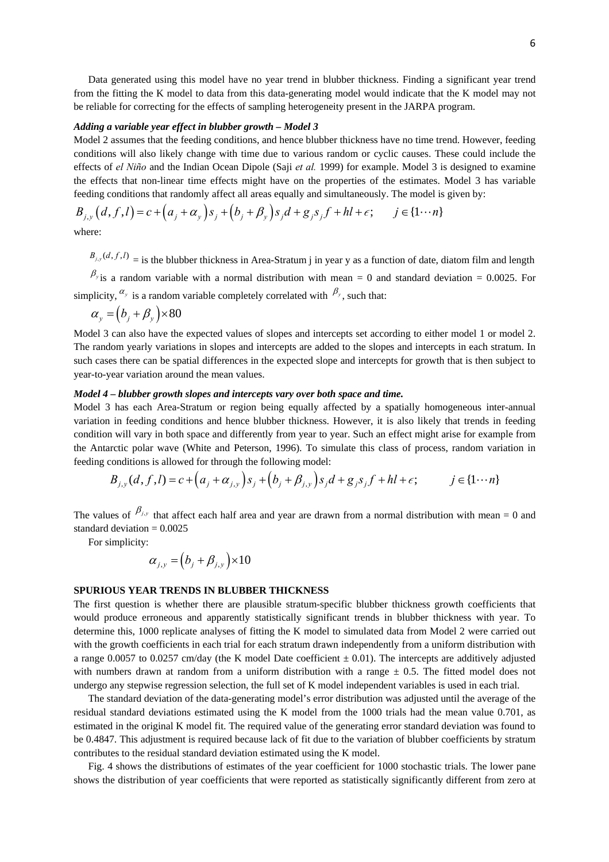Data generated using this model have no year trend in blubber thickness. Finding a significant year trend from the fitting the K model to data from this data-generating model would indicate that the K model may not be reliable for correcting for the effects of sampling heterogeneity present in the JARPA program.

### *Adding a variable year effect in blubber growth – Model 3*

Model 2 assumes that the feeding conditions, and hence blubber thickness have no time trend. However, feeding conditions will also likely change with time due to various random or cyclic causes. These could include the effects of *el Niño* and the Indian Ocean Dipole (Saji *et al.* 1999) for example. Model 3 is designed to examine the effects that non-linear time effects might have on the properties of the estimates. Model 3 has variable feeding conditions that randomly affect all areas equally and simultaneously. The model is given by:

$$
B_{j,y}(d, f, l) = c + (a_j + \alpha_y) s_j + (b_j + \beta_y) s_j d + g_j s_j f + hl + \epsilon; \qquad j \in \{1 \cdots n\}
$$

where:

 $B_{j,y}(d, f, l)$  = is the blubber thickness in Area-Stratum j in year y as a function of date, diatom film and length

 $\beta_{y}$  is a random variable with a normal distribution with mean = 0 and standard deviation = 0.0025. For simplicity,  $\alpha_y$  is a random variable completely correlated with  $\beta_y$ , such that:

$$
\alpha_{y} = (b_{j} + \beta_{y}) \times 80
$$

Model 3 can also have the expected values of slopes and intercepts set according to either model 1 or model 2. The random yearly variations in slopes and intercepts are added to the slopes and intercepts in each stratum. In such cases there can be spatial differences in the expected slope and intercepts for growth that is then subject to year-to-year variation around the mean values.

### *Model 4 – blubber growth slopes and intercepts vary over both space and time.*

Model 3 has each Area-Stratum or region being equally affected by a spatially homogeneous inter-annual variation in feeding conditions and hence blubber thickness. However, it is also likely that trends in feeding condition will vary in both space and differently from year to year. Such an effect might arise for example from the Antarctic polar wave (White and Peterson, 1996). To simulate this class of process, random variation in feeding conditions is allowed for through the following model:

$$
B_{j,y}(d, f, l) = c + (a_j + \alpha_{j,y})s_j + (b_j + \beta_{j,y})s_jd + g_j s_jf + hl + \epsilon; \qquad j \in \{1 \cdots n\}
$$

The values of  $\beta_{j,y}$  that affect each half area and year are drawn from a normal distribution with mean = 0 and standard deviation  $= 0.0025$ 

For simplicity:

$$
\alpha_{j,y} = (b_j + \beta_{j,y}) \times 10
$$

### **SPURIOUS YEAR TRENDS IN BLUBBER THICKNESS**

The first question is whether there are plausible stratum-specific blubber thickness growth coefficients that would produce erroneous and apparently statistically significant trends in blubber thickness with year. To determine this, 1000 replicate analyses of fitting the K model to simulated data from Model 2 were carried out with the growth coefficients in each trial for each stratum drawn independently from a uniform distribution with a range 0.0057 to 0.0257 cm/day (the K model Date coefficient  $\pm$  0.01). The intercepts are additively adjusted with numbers drawn at random from a uniform distribution with a range  $\pm$  0.5. The fitted model does not undergo any stepwise regression selection, the full set of K model independent variables is used in each trial.

The standard deviation of the data-generating model's error distribution was adjusted until the average of the residual standard deviations estimated using the K model from the 1000 trials had the mean value 0.701, as estimated in the original K model fit. The required value of the generating error standard deviation was found to be 0.4847. This adjustment is required because lack of fit due to the variation of blubber coefficients by stratum contributes to the residual standard deviation estimated using the K model.

Fig. 4 shows the distributions of estimates of the year coefficient for 1000 stochastic trials. The lower pane shows the distribution of year coefficients that were reported as statistically significantly different from zero at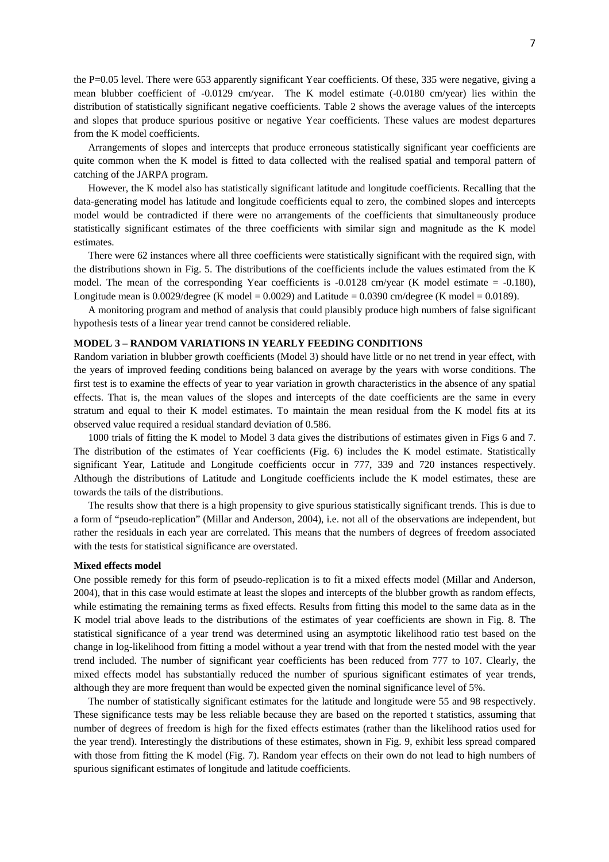the P=0.05 level. There were 653 apparently significant Year coefficients. Of these, 335 were negative, giving a mean blubber coefficient of -0.0129 cm/year. The K model estimate (-0.0180 cm/year) lies within the distribution of statistically significant negative coefficients. Table 2 shows the average values of the intercepts and slopes that produce spurious positive or negative Year coefficients. These values are modest departures from the K model coefficients.

Arrangements of slopes and intercepts that produce erroneous statistically significant year coefficients are quite common when the K model is fitted to data collected with the realised spatial and temporal pattern of catching of the JARPA program.

However, the K model also has statistically significant latitude and longitude coefficients. Recalling that the data-generating model has latitude and longitude coefficients equal to zero, the combined slopes and intercepts model would be contradicted if there were no arrangements of the coefficients that simultaneously produce statistically significant estimates of the three coefficients with similar sign and magnitude as the K model estimates.

There were 62 instances where all three coefficients were statistically significant with the required sign, with the distributions shown in Fig. 5. The distributions of the coefficients include the values estimated from the K model. The mean of the corresponding Year coefficients is  $-0.0128$  cm/year (K model estimate  $= -0.180$ ), Longitude mean is  $0.0029$ /degree (K model = 0.0029) and Latitude = 0.0390 cm/degree (K model = 0.0189).

A monitoring program and method of analysis that could plausibly produce high numbers of false significant hypothesis tests of a linear year trend cannot be considered reliable.

## **MODEL 3 – RANDOM VARIATIONS IN YEARLY FEEDING CONDITIONS**

Random variation in blubber growth coefficients (Model 3) should have little or no net trend in year effect, with the years of improved feeding conditions being balanced on average by the years with worse conditions. The first test is to examine the effects of year to year variation in growth characteristics in the absence of any spatial effects. That is, the mean values of the slopes and intercepts of the date coefficients are the same in every stratum and equal to their K model estimates. To maintain the mean residual from the K model fits at its observed value required a residual standard deviation of 0.586.

1000 trials of fitting the K model to Model 3 data gives the distributions of estimates given in Figs 6 and 7. The distribution of the estimates of Year coefficients (Fig. 6) includes the K model estimate. Statistically significant Year, Latitude and Longitude coefficients occur in 777, 339 and 720 instances respectively. Although the distributions of Latitude and Longitude coefficients include the K model estimates, these are towards the tails of the distributions.

The results show that there is a high propensity to give spurious statistically significant trends. This is due to a form of "pseudo-replication" (Millar and Anderson, 2004), i.e. not all of the observations are independent, but rather the residuals in each year are correlated. This means that the numbers of degrees of freedom associated with the tests for statistical significance are overstated.

#### **Mixed effects model**

One possible remedy for this form of pseudo-replication is to fit a mixed effects model (Millar and Anderson, 2004), that in this case would estimate at least the slopes and intercepts of the blubber growth as random effects, while estimating the remaining terms as fixed effects. Results from fitting this model to the same data as in the K model trial above leads to the distributions of the estimates of year coefficients are shown in Fig. 8. The statistical significance of a year trend was determined using an asymptotic likelihood ratio test based on the change in log-likelihood from fitting a model without a year trend with that from the nested model with the year trend included. The number of significant year coefficients has been reduced from 777 to 107. Clearly, the mixed effects model has substantially reduced the number of spurious significant estimates of year trends, although they are more frequent than would be expected given the nominal significance level of 5%.

The number of statistically significant estimates for the latitude and longitude were 55 and 98 respectively. These significance tests may be less reliable because they are based on the reported t statistics, assuming that number of degrees of freedom is high for the fixed effects estimates (rather than the likelihood ratios used for the year trend). Interestingly the distributions of these estimates, shown in Fig. 9, exhibit less spread compared with those from fitting the K model (Fig. 7). Random year effects on their own do not lead to high numbers of spurious significant estimates of longitude and latitude coefficients.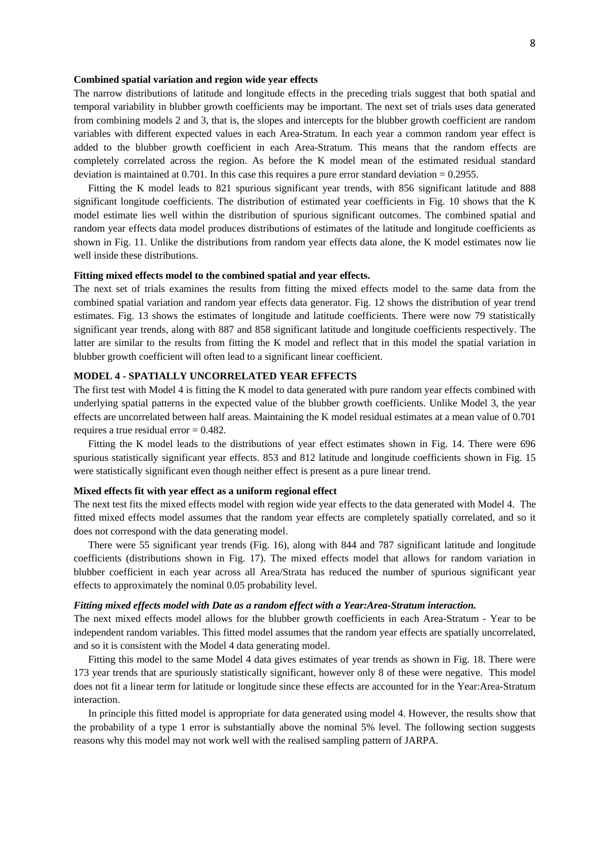#### **Combined spatial variation and region wide year effects**

The narrow distributions of latitude and longitude effects in the preceding trials suggest that both spatial and temporal variability in blubber growth coefficients may be important. The next set of trials uses data generated from combining models 2 and 3, that is, the slopes and intercepts for the blubber growth coefficient are random variables with different expected values in each Area-Stratum. In each year a common random year effect is added to the blubber growth coefficient in each Area-Stratum. This means that the random effects are completely correlated across the region. As before the K model mean of the estimated residual standard deviation is maintained at  $0.701$ . In this case this requires a pure error standard deviation =  $0.2955$ .

Fitting the K model leads to 821 spurious significant year trends, with 856 significant latitude and 888 significant longitude coefficients. The distribution of estimated year coefficients in Fig. 10 shows that the K model estimate lies well within the distribution of spurious significant outcomes. The combined spatial and random year effects data model produces distributions of estimates of the latitude and longitude coefficients as shown in Fig. 11. Unlike the distributions from random year effects data alone, the K model estimates now lie well inside these distributions.

### **Fitting mixed effects model to the combined spatial and year effects.**

The next set of trials examines the results from fitting the mixed effects model to the same data from the combined spatial variation and random year effects data generator. Fig. 12 shows the distribution of year trend estimates. Fig. 13 shows the estimates of longitude and latitude coefficients. There were now 79 statistically significant year trends, along with 887 and 858 significant latitude and longitude coefficients respectively. The latter are similar to the results from fitting the K model and reflect that in this model the spatial variation in blubber growth coefficient will often lead to a significant linear coefficient.

## **MODEL 4 - SPATIALLY UNCORRELATED YEAR EFFECTS**

The first test with Model 4 is fitting the K model to data generated with pure random year effects combined with underlying spatial patterns in the expected value of the blubber growth coefficients. Unlike Model 3, the year effects are uncorrelated between half areas. Maintaining the K model residual estimates at a mean value of 0.701 requires a true residual error = 0.482.

Fitting the K model leads to the distributions of year effect estimates shown in Fig. 14. There were 696 spurious statistically significant year effects. 853 and 812 latitude and longitude coefficients shown in Fig. 15 were statistically significant even though neither effect is present as a pure linear trend.

#### **Mixed effects fit with year effect as a uniform regional effect**

The next test fits the mixed effects model with region wide year effects to the data generated with Model 4. The fitted mixed effects model assumes that the random year effects are completely spatially correlated, and so it does not correspond with the data generating model.

There were 55 significant year trends (Fig. 16), along with 844 and 787 significant latitude and longitude coefficients (distributions shown in Fig. 17). The mixed effects model that allows for random variation in blubber coefficient in each year across all Area/Strata has reduced the number of spurious significant year effects to approximately the nominal 0.05 probability level.

#### *Fitting mixed effects model with Date as a random effect with a Year:Area-Stratum interaction.*

The next mixed effects model allows for the blubber growth coefficients in each Area-Stratum - Year to be independent random variables. This fitted model assumes that the random year effects are spatially uncorrelated, and so it is consistent with the Model 4 data generating model.

Fitting this model to the same Model 4 data gives estimates of year trends as shown in Fig. 18. There were 173 year trends that are spuriously statistically significant, however only 8 of these were negative. This model does not fit a linear term for latitude or longitude since these effects are accounted for in the Year:Area-Stratum interaction.

In principle this fitted model is appropriate for data generated using model 4. However, the results show that the probability of a type 1 error is substantially above the nominal 5% level. The following section suggests reasons why this model may not work well with the realised sampling pattern of JARPA.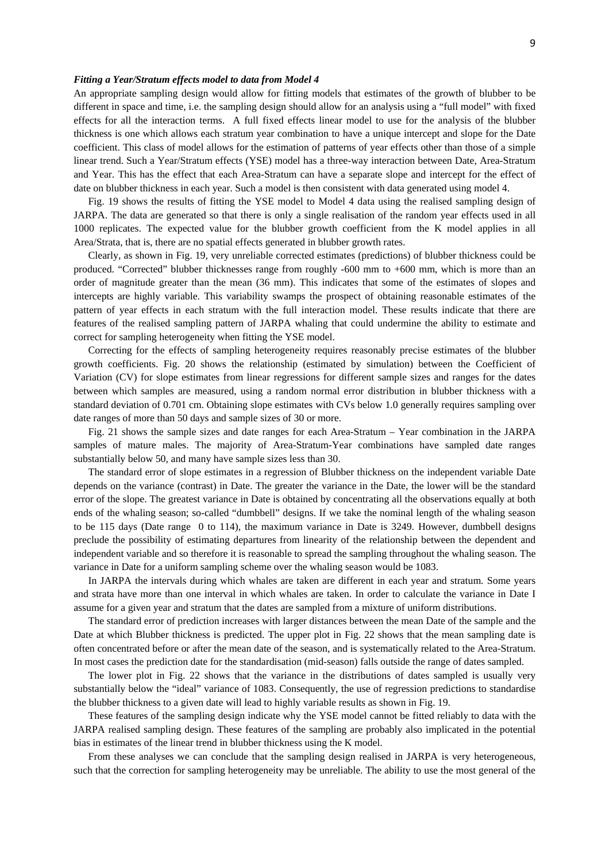#### *Fitting a Year/Stratum effects model to data from Model 4*

An appropriate sampling design would allow for fitting models that estimates of the growth of blubber to be different in space and time, i.e. the sampling design should allow for an analysis using a "full model" with fixed effects for all the interaction terms. A full fixed effects linear model to use for the analysis of the blubber thickness is one which allows each stratum year combination to have a unique intercept and slope for the Date coefficient. This class of model allows for the estimation of patterns of year effects other than those of a simple linear trend. Such a Year/Stratum effects (YSE) model has a three-way interaction between Date, Area-Stratum and Year. This has the effect that each Area-Stratum can have a separate slope and intercept for the effect of date on blubber thickness in each year. Such a model is then consistent with data generated using model 4.

Fig. 19 shows the results of fitting the YSE model to Model 4 data using the realised sampling design of JARPA. The data are generated so that there is only a single realisation of the random year effects used in all 1000 replicates. The expected value for the blubber growth coefficient from the K model applies in all Area/Strata, that is, there are no spatial effects generated in blubber growth rates.

Clearly, as shown in Fig. 19, very unreliable corrected estimates (predictions) of blubber thickness could be produced. "Corrected" blubber thicknesses range from roughly -600 mm to +600 mm, which is more than an order of magnitude greater than the mean (36 mm). This indicates that some of the estimates of slopes and intercepts are highly variable. This variability swamps the prospect of obtaining reasonable estimates of the pattern of year effects in each stratum with the full interaction model. These results indicate that there are features of the realised sampling pattern of JARPA whaling that could undermine the ability to estimate and correct for sampling heterogeneity when fitting the YSE model.

Correcting for the effects of sampling heterogeneity requires reasonably precise estimates of the blubber growth coefficients. Fig. 20 shows the relationship (estimated by simulation) between the Coefficient of Variation (CV) for slope estimates from linear regressions for different sample sizes and ranges for the dates between which samples are measured, using a random normal error distribution in blubber thickness with a standard deviation of 0.701 cm. Obtaining slope estimates with CVs below 1.0 generally requires sampling over date ranges of more than 50 days and sample sizes of 30 or more.

Fig. 21 shows the sample sizes and date ranges for each Area-Stratum – Year combination in the JARPA samples of mature males. The majority of Area-Stratum-Year combinations have sampled date ranges substantially below 50, and many have sample sizes less than 30.

The standard error of slope estimates in a regression of Blubber thickness on the independent variable Date depends on the variance (contrast) in Date. The greater the variance in the Date, the lower will be the standard error of the slope. The greatest variance in Date is obtained by concentrating all the observations equally at both ends of the whaling season; so-called "dumbbell" designs. If we take the nominal length of the whaling season to be 115 days (Date range 0 to 114), the maximum variance in Date is 3249. However, dumbbell designs preclude the possibility of estimating departures from linearity of the relationship between the dependent and independent variable and so therefore it is reasonable to spread the sampling throughout the whaling season. The variance in Date for a uniform sampling scheme over the whaling season would be 1083.

In JARPA the intervals during which whales are taken are different in each year and stratum. Some years and strata have more than one interval in which whales are taken. In order to calculate the variance in Date I assume for a given year and stratum that the dates are sampled from a mixture of uniform distributions.

The standard error of prediction increases with larger distances between the mean Date of the sample and the Date at which Blubber thickness is predicted. The upper plot in Fig. 22 shows that the mean sampling date is often concentrated before or after the mean date of the season, and is systematically related to the Area-Stratum. In most cases the prediction date for the standardisation (mid-season) falls outside the range of dates sampled.

The lower plot in Fig. 22 shows that the variance in the distributions of dates sampled is usually very substantially below the "ideal" variance of 1083. Consequently, the use of regression predictions to standardise the blubber thickness to a given date will lead to highly variable results as shown in Fig. 19.

These features of the sampling design indicate why the YSE model cannot be fitted reliably to data with the JARPA realised sampling design. These features of the sampling are probably also implicated in the potential bias in estimates of the linear trend in blubber thickness using the K model.

From these analyses we can conclude that the sampling design realised in JARPA is very heterogeneous, such that the correction for sampling heterogeneity may be unreliable. The ability to use the most general of the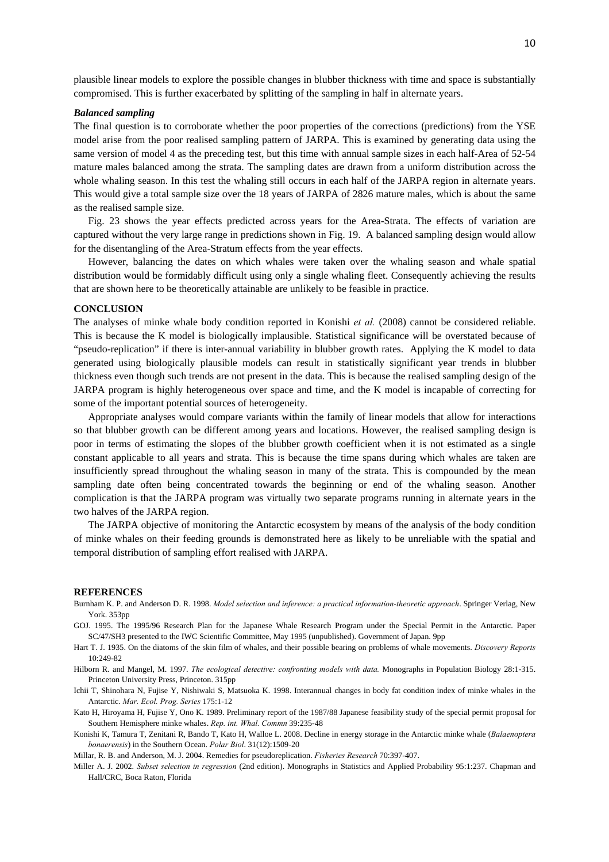plausible linear models to explore the possible changes in blubber thickness with time and space is substantially compromised. This is further exacerbated by splitting of the sampling in half in alternate years.

#### *Balanced sampling*

The final question is to corroborate whether the poor properties of the corrections (predictions) from the YSE model arise from the poor realised sampling pattern of JARPA. This is examined by generating data using the same version of model 4 as the preceding test, but this time with annual sample sizes in each half-Area of 52-54 mature males balanced among the strata. The sampling dates are drawn from a uniform distribution across the whole whaling season. In this test the whaling still occurs in each half of the JARPA region in alternate years. This would give a total sample size over the 18 years of JARPA of 2826 mature males, which is about the same as the realised sample size.

Fig. 23 shows the year effects predicted across years for the Area-Strata. The effects of variation are captured without the very large range in predictions shown in Fig. 19. A balanced sampling design would allow for the disentangling of the Area-Stratum effects from the year effects.

However, balancing the dates on which whales were taken over the whaling season and whale spatial distribution would be formidably difficult using only a single whaling fleet. Consequently achieving the results that are shown here to be theoretically attainable are unlikely to be feasible in practice.

## **CONCLUSION**

The analyses of minke whale body condition reported in Konishi *et al.* (2008) cannot be considered reliable. This is because the K model is biologically implausible. Statistical significance will be overstated because of "pseudo-replication" if there is inter-annual variability in blubber growth rates. Applying the K model to data generated using biologically plausible models can result in statistically significant year trends in blubber thickness even though such trends are not present in the data. This is because the realised sampling design of the JARPA program is highly heterogeneous over space and time, and the K model is incapable of correcting for some of the important potential sources of heterogeneity.

Appropriate analyses would compare variants within the family of linear models that allow for interactions so that blubber growth can be different among years and locations. However, the realised sampling design is poor in terms of estimating the slopes of the blubber growth coefficient when it is not estimated as a single constant applicable to all years and strata. This is because the time spans during which whales are taken are insufficiently spread throughout the whaling season in many of the strata. This is compounded by the mean sampling date often being concentrated towards the beginning or end of the whaling season. Another complication is that the JARPA program was virtually two separate programs running in alternate years in the two halves of the JARPA region.

The JARPA objective of monitoring the Antarctic ecosystem by means of the analysis of the body condition of minke whales on their feeding grounds is demonstrated here as likely to be unreliable with the spatial and temporal distribution of sampling effort realised with JARPA.

#### **REFERENCES**

- Burnham K. P. and Anderson D. R. 1998. *Model selection and inference: a practical information-theoretic approach*. Springer Verlag, New York. 353pp
- GOJ. 1995. The 1995/96 Research Plan for the Japanese Whale Research Program under the Special Permit in the Antarctic. Paper SC/47/SH3 presented to the IWC Scientific Committee, May 1995 (unpublished). Government of Japan. 9pp
- Hart T. J. 1935. On the diatoms of the skin film of whales, and their possible bearing on problems of whale movements. *Discovery Reports*  $10.249 - 82$
- Hilborn R. and Mangel, M. 1997. *The ecological detective: confronting models with data.* Monographs in Population Biology 28:1-315. Princeton University Press, Princeton. 315pp
- Ichii T, Shinohara N, Fujise Y, Nishiwaki S, Matsuoka K. 1998. Interannual changes in body fat condition index of minke whales in the Antarctic. *Mar. Ecol. Prog. Series* 175:1-12
- Kato H, Hiroyama H, Fujise Y, Ono K. 1989. Preliminary report of the 1987/88 Japanese feasibility study of the special permit proposal for Southern Hemisphere minke whales. *Rep. int. Whal. Commn* 39:235-48
- Konishi K, Tamura T, Zenitani R, Bando T, Kato H, Walloe L. 2008. Decline in energy storage in the Antarctic minke whale (*Balaenoptera bonaerensis*) in the Southern Ocean. *Polar Biol*. 31(12):1509-20
- Millar, R. B. and Anderson, M. J. 2004. Remedies for pseudoreplication. *Fisheries Research* 70:397-407.
- Miller A. J. 2002. *Subset selection in regression* (2nd edition). Monographs in Statistics and Applied Probability 95:1:237. Chapman and Hall/CRC, Boca Raton, Florida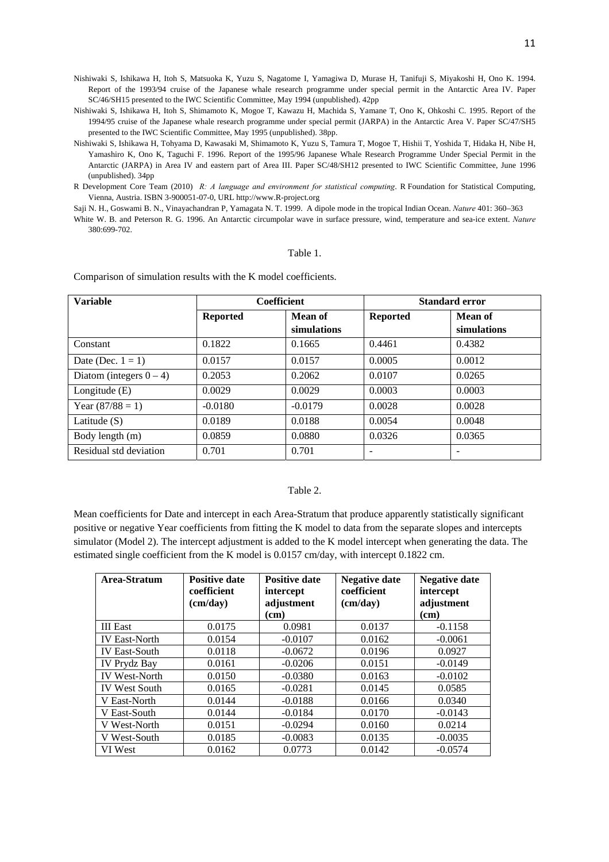Nishiwaki S, Ishikawa H, Itoh S, Matsuoka K, Yuzu S, Nagatome I, Yamagiwa D, Murase H, Tanifuji S, Miyakoshi H, Ono K. 1994. Report of the 1993/94 cruise of the Japanese whale research programme under special permit in the Antarctic Area IV. Paper SC/46/SH15 presented to the IWC Scientific Committee, May 1994 (unpublished). 42pp

Nishiwaki S, Ishikawa H, Itoh S, Shimamoto K, Mogoe T, Kawazu H, Machida S, Yamane T, Ono K, Ohkoshi C. 1995. Report of the 1994/95 cruise of the Japanese whale research programme under special permit (JARPA) in the Antarctic Area V. Paper SC/47/SH5 presented to the IWC Scientific Committee, May 1995 (unpublished). 38pp.

R Development Core Team (2010) *R: A language and environment for statistical computing*. R Foundation for Statistical Computing, Vienna, Austria. ISBN 3-900051-07-0, URL http://www.R-project.org

Saji N. H., Goswami B. N., Vinayachandran P, Yamagata N. T. 1999. A dipole mode in the tropical Indian Ocean. *Nature* 401: 360–363 White W. B. and Peterson R. G. 1996. An Antarctic circumpolar wave in surface pressure, wind, temperature and sea-ice extent. *Nature* 380:699-702.

## Table 1.

Comparison of simulation results with the K model coefficients.

| <b>Variable</b>            | <b>Coefficient</b> |             | <b>Standard error</b> |             |
|----------------------------|--------------------|-------------|-----------------------|-------------|
|                            | <b>Reported</b>    | Mean of     | <b>Reported</b>       | Mean of     |
|                            |                    | simulations |                       | simulations |
| Constant                   | 0.1822             | 0.1665      | 0.4461                | 0.4382      |
| Date (Dec. $1 = 1$ )       | 0.0157             | 0.0157      | 0.0005                | 0.0012      |
| Diatom (integers $0 - 4$ ) | 0.2053             | 0.2062      | 0.0107                | 0.0265      |
| Longitude $(E)$            | 0.0029             | 0.0029      | 0.0003                | 0.0003      |
| Year $(87/88 = 1)$         | $-0.0180$          | $-0.0179$   | 0.0028                | 0.0028      |
| Latitude $(S)$             | 0.0189             | 0.0188      | 0.0054                | 0.0048      |
| Body length (m)            | 0.0859             | 0.0880      | 0.0326                | 0.0365      |
| Residual std deviation     | 0.701              | 0.701       |                       |             |

## Table 2.

Mean coefficients for Date and intercept in each Area-Stratum that produce apparently statistically significant positive or negative Year coefficients from fitting the K model to data from the separate slopes and intercepts simulator (Model 2). The intercept adjustment is added to the K model intercept when generating the data. The estimated single coefficient from the K model is 0.0157 cm/day, with intercept 0.1822 cm.

| Area-Stratum         | <b>Positive date</b><br>coefficient<br>(cm/day) | <b>Positive date</b><br>intercept<br>adjustment<br>$\rm (cm)$ | <b>Negative date</b><br>coefficient<br>(cm/day) | <b>Negative date</b><br>intercept<br>adjustment<br>(cm) |
|----------------------|-------------------------------------------------|---------------------------------------------------------------|-------------------------------------------------|---------------------------------------------------------|
| <b>III</b> East      | 0.0175                                          | 0.0981                                                        | 0.0137                                          | $-0.1158$                                               |
| <b>IV East-North</b> | 0.0154                                          | $-0.0107$                                                     | 0.0162                                          | $-0.0061$                                               |
| <b>IV East-South</b> | 0.0118                                          | $-0.0672$                                                     | 0.0196                                          | 0.0927                                                  |
| <b>IV Prydz Bay</b>  | 0.0161                                          | $-0.0206$                                                     | 0.0151                                          | $-0.0149$                                               |
| <b>IV West-North</b> | 0.0150                                          | $-0.0380$                                                     | 0.0163                                          | $-0.0102$                                               |
| <b>IV West South</b> | 0.0165                                          | $-0.0281$                                                     | 0.0145                                          | 0.0585                                                  |
| V East-North         | 0.0144                                          | $-0.0188$                                                     | 0.0166                                          | 0.0340                                                  |
| V East-South         | 0.0144                                          | $-0.0184$                                                     | 0.0170                                          | $-0.0143$                                               |
| V West-North         | 0.0151                                          | $-0.0294$                                                     | 0.0160                                          | 0.0214                                                  |
| V West-South         | 0.0185                                          | $-0.0083$                                                     | 0.0135                                          | $-0.0035$                                               |
| VI West              | 0.0162                                          | 0.0773                                                        | 0.0142                                          | $-0.0574$                                               |

Nishiwaki S, Ishikawa H, Tohyama D, Kawasaki M, Shimamoto K, Yuzu S, Tamura T, Mogoe T, Hishii T, Yoshida T, Hidaka H, Nibe H, Yamashiro K, Ono K, Taguchi F. 1996. Report of the 1995/96 Japanese Whale Research Programme Under Special Permit in the Antarctic (JARPA) in Area IV and eastern part of Area III. Paper SC/48/SH12 presented to IWC Scientific Committee, June 1996 (unpublished). 34pp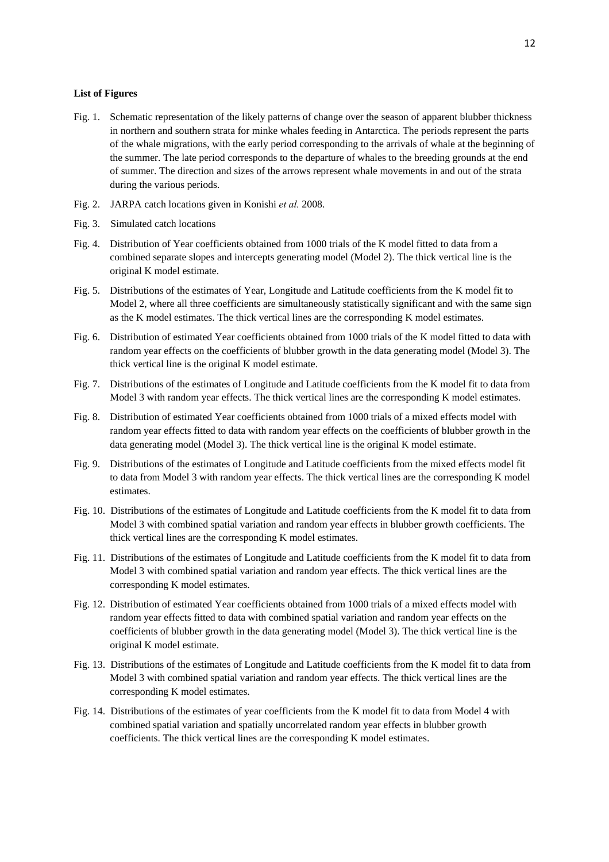### **List of Figures**

- Fig. 1. Schematic representation of the likely patterns of change over the season of apparent blubber thickness in northern and southern strata for minke whales feeding in Antarctica. The periods represent the parts of the whale migrations, with the early period corresponding to the arrivals of whale at the beginning of the summer. The late period corresponds to the departure of whales to the breeding grounds at the end of summer. The direction and sizes of the arrows represent whale movements in and out of the strata during the various periods.
- Fig. 2. JARPA catch locations given in Konishi *et al.* 2008.
- Fig. 3. Simulated catch locations
- Fig. 4. Distribution of Year coefficients obtained from 1000 trials of the K model fitted to data from a combined separate slopes and intercepts generating model (Model 2). The thick vertical line is the original K model estimate.
- Fig. 5. Distributions of the estimates of Year, Longitude and Latitude coefficients from the K model fit to Model 2, where all three coefficients are simultaneously statistically significant and with the same sign as the K model estimates. The thick vertical lines are the corresponding K model estimates.
- Fig. 6. Distribution of estimated Year coefficients obtained from 1000 trials of the K model fitted to data with random year effects on the coefficients of blubber growth in the data generating model (Model 3). The thick vertical line is the original K model estimate.
- Fig. 7. Distributions of the estimates of Longitude and Latitude coefficients from the K model fit to data from Model 3 with random year effects. The thick vertical lines are the corresponding K model estimates.
- Fig. 8. Distribution of estimated Year coefficients obtained from 1000 trials of a mixed effects model with random year effects fitted to data with random year effects on the coefficients of blubber growth in the data generating model (Model 3). The thick vertical line is the original K model estimate.
- Fig. 9. Distributions of the estimates of Longitude and Latitude coefficients from the mixed effects model fit to data from Model 3 with random year effects. The thick vertical lines are the corresponding K model estimates.
- Fig. 10. Distributions of the estimates of Longitude and Latitude coefficients from the K model fit to data from Model 3 with combined spatial variation and random year effects in blubber growth coefficients. The thick vertical lines are the corresponding K model estimates.
- Fig. 11. Distributions of the estimates of Longitude and Latitude coefficients from the K model fit to data from Model 3 with combined spatial variation and random year effects. The thick vertical lines are the corresponding K model estimates.
- Fig. 12. Distribution of estimated Year coefficients obtained from 1000 trials of a mixed effects model with random year effects fitted to data with combined spatial variation and random year effects on the coefficients of blubber growth in the data generating model (Model 3). The thick vertical line is the original K model estimate.
- Fig. 13. Distributions of the estimates of Longitude and Latitude coefficients from the K model fit to data from Model 3 with combined spatial variation and random year effects. The thick vertical lines are the corresponding K model estimates.
- Fig. 14. Distributions of the estimates of year coefficients from the K model fit to data from Model 4 with combined spatial variation and spatially uncorrelated random year effects in blubber growth coefficients. The thick vertical lines are the corresponding K model estimates.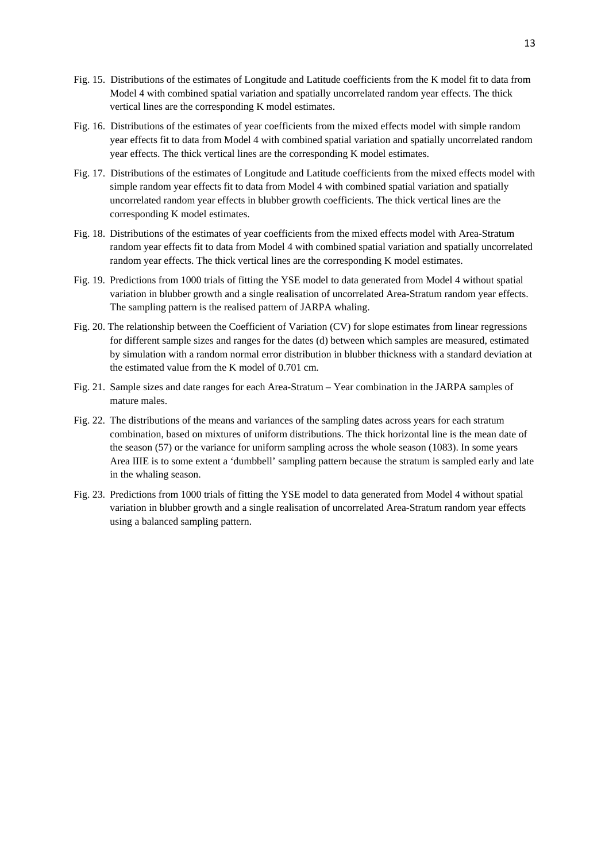- Fig. 15. Distributions of the estimates of Longitude and Latitude coefficients from the K model fit to data from Model 4 with combined spatial variation and spatially uncorrelated random year effects. The thick vertical lines are the corresponding K model estimates.
- Fig. 16. Distributions of the estimates of year coefficients from the mixed effects model with simple random year effects fit to data from Model 4 with combined spatial variation and spatially uncorrelated random year effects. The thick vertical lines are the corresponding K model estimates.
- Fig. 17. Distributions of the estimates of Longitude and Latitude coefficients from the mixed effects model with simple random year effects fit to data from Model 4 with combined spatial variation and spatially uncorrelated random year effects in blubber growth coefficients. The thick vertical lines are the corresponding K model estimates.
- Fig. 18. Distributions of the estimates of year coefficients from the mixed effects model with Area-Stratum random year effects fit to data from Model 4 with combined spatial variation and spatially uncorrelated random year effects. The thick vertical lines are the corresponding K model estimates.
- Fig. 19. Predictions from 1000 trials of fitting the YSE model to data generated from Model 4 without spatial variation in blubber growth and a single realisation of uncorrelated Area-Stratum random year effects. The sampling pattern is the realised pattern of JARPA whaling.
- Fig. 20. The relationship between the Coefficient of Variation (CV) for slope estimates from linear regressions for different sample sizes and ranges for the dates (d) between which samples are measured, estimated by simulation with a random normal error distribution in blubber thickness with a standard deviation at the estimated value from the K model of 0.701 cm.
- Fig. 21. Sample sizes and date ranges for each Area-Stratum Year combination in the JARPA samples of mature males.
- Fig. 22. The distributions of the means and variances of the sampling dates across years for each stratum combination, based on mixtures of uniform distributions. The thick horizontal line is the mean date of the season (57) or the variance for uniform sampling across the whole season (1083). In some years Area IIIE is to some extent a 'dumbbell' sampling pattern because the stratum is sampled early and late in the whaling season.
- Fig. 23. Predictions from 1000 trials of fitting the YSE model to data generated from Model 4 without spatial variation in blubber growth and a single realisation of uncorrelated Area-Stratum random year effects using a balanced sampling pattern.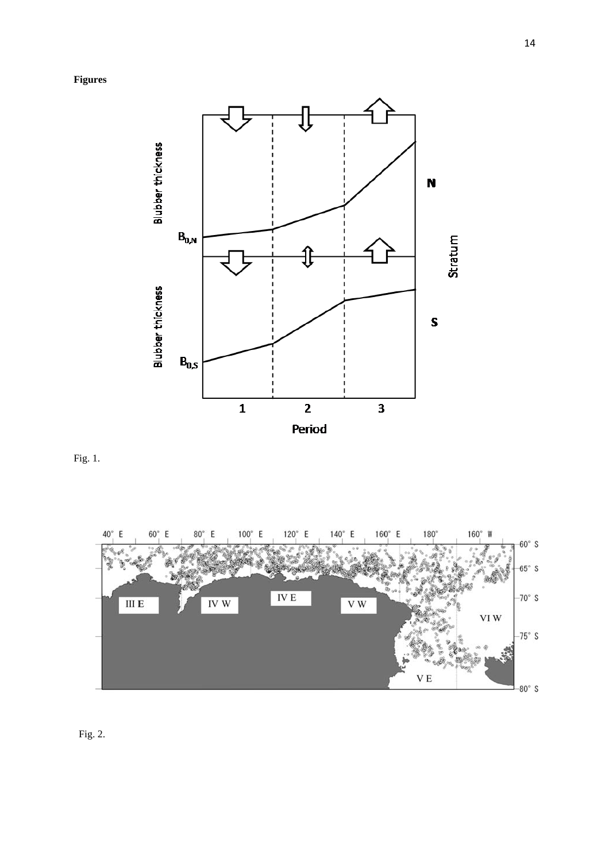

Fig. 1.



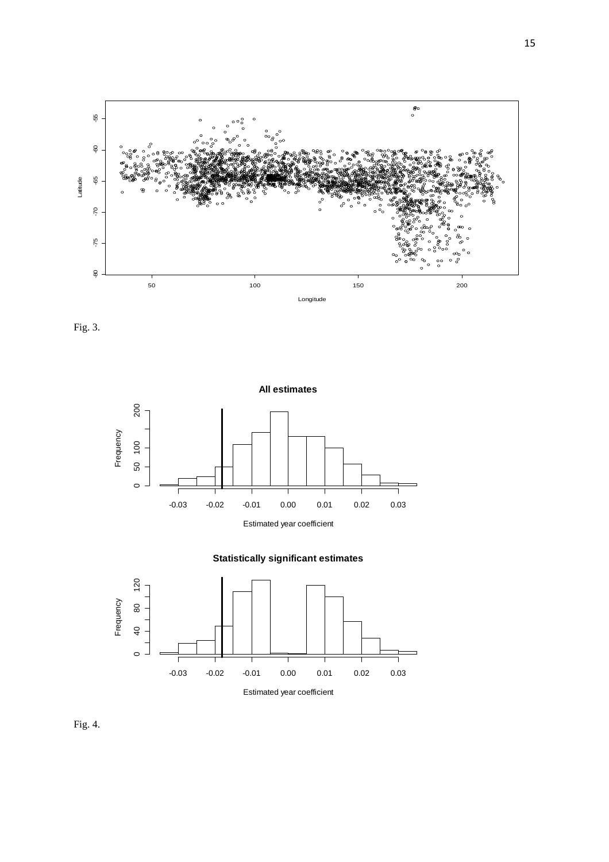

Fig. 3.







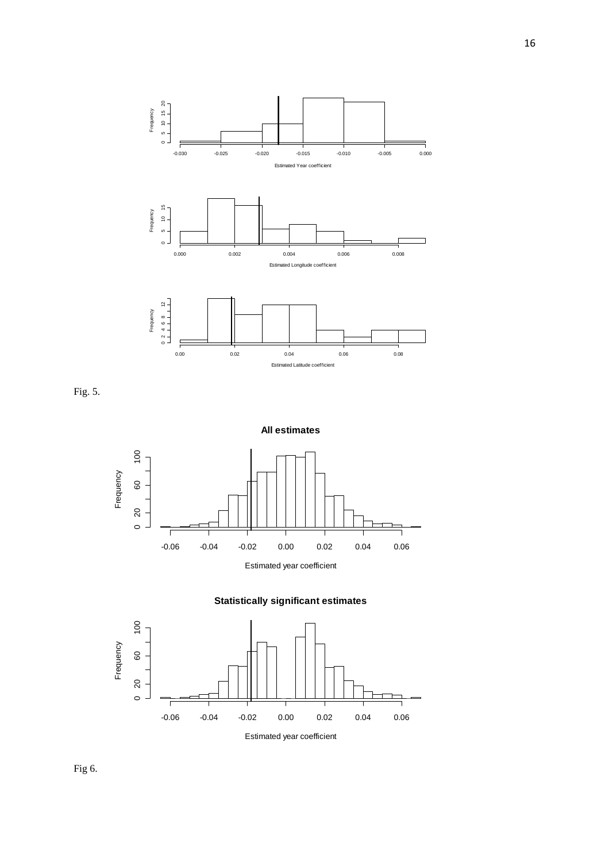

Fig. 5.







Estimated year coefficient

16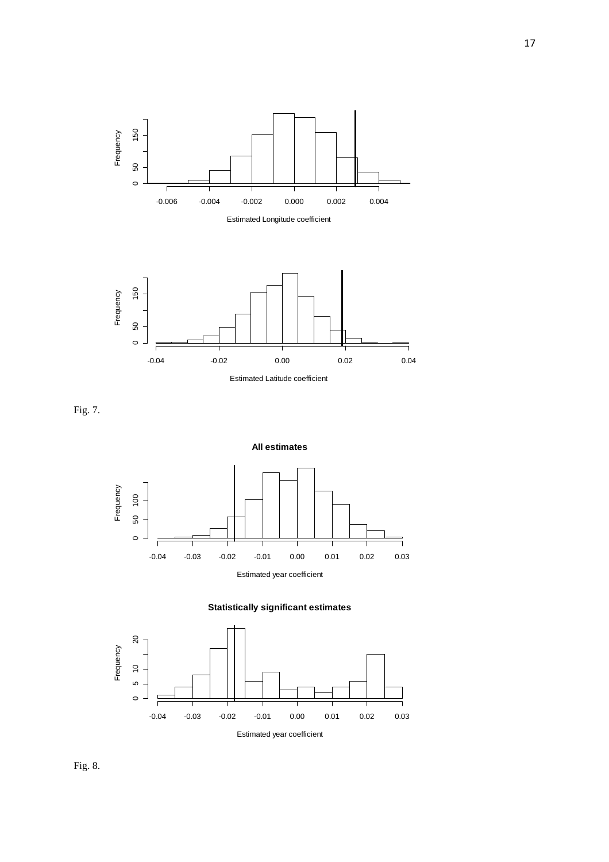

Fig. 7.







Fig. 8.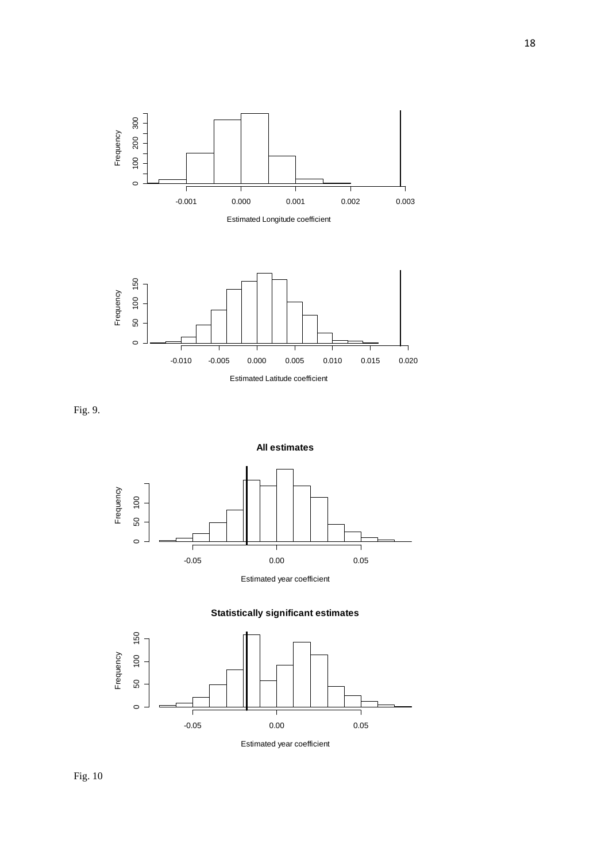

Fig. 9.







Estimated year coefficient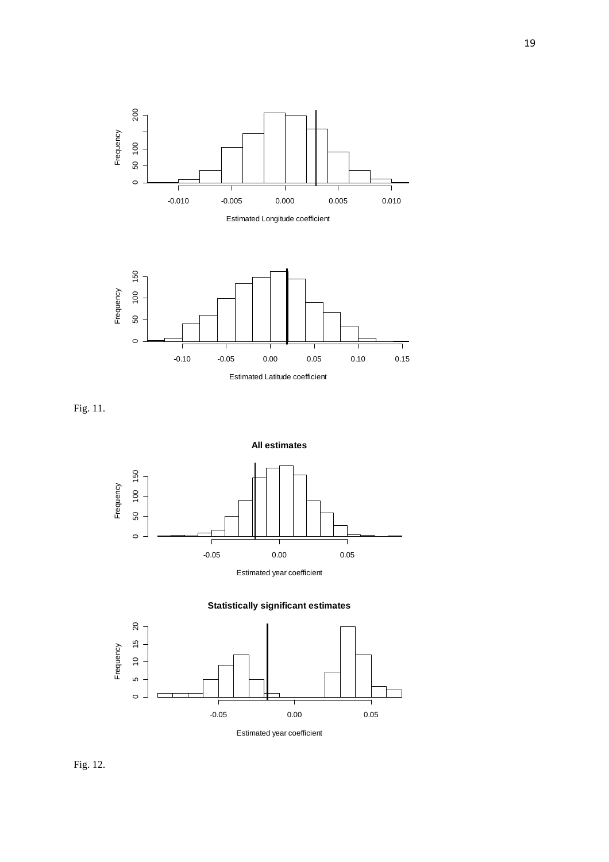

Fig. 11.







Estimated year coefficient

Fig. 12.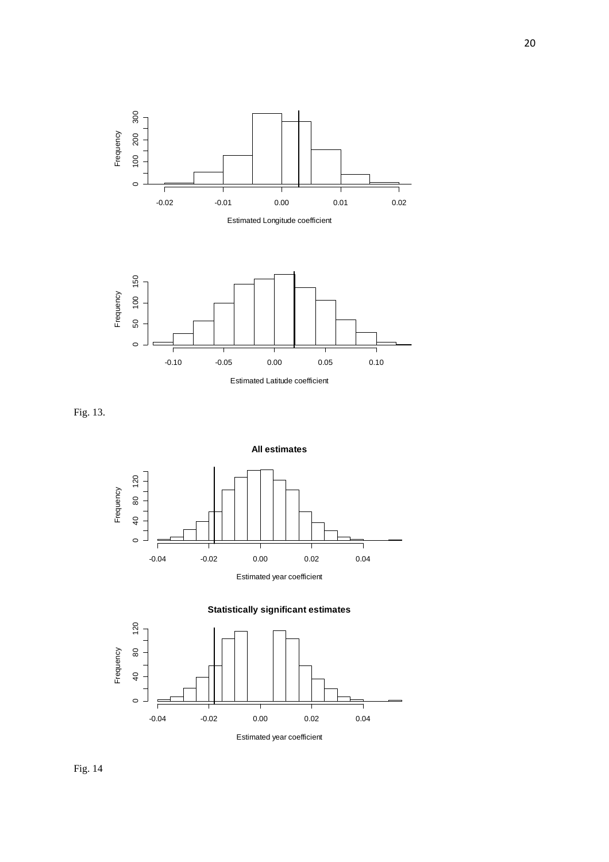

Fig. 13.





Fig. 14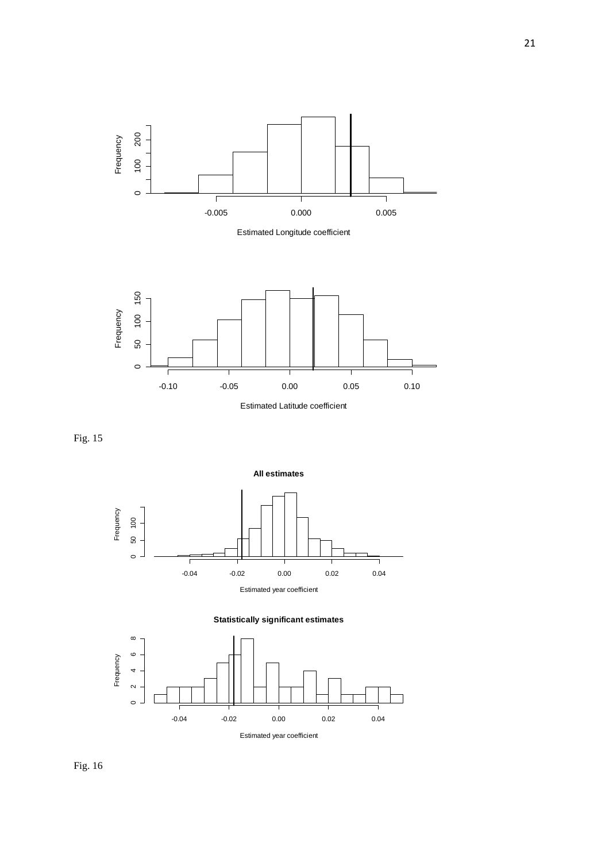









Fig. 16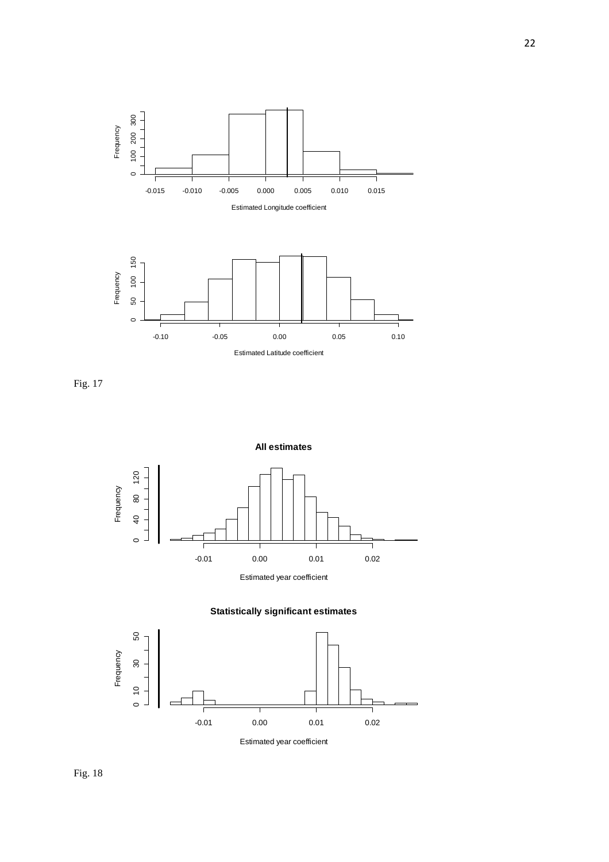

Fig. 17







Estimated year coefficient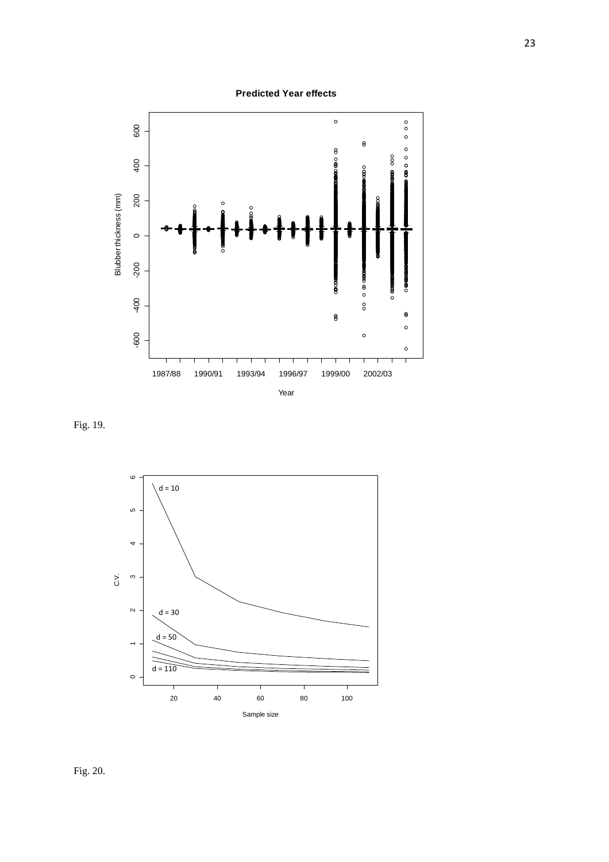**Predicted Year effects**



Fig. 19.



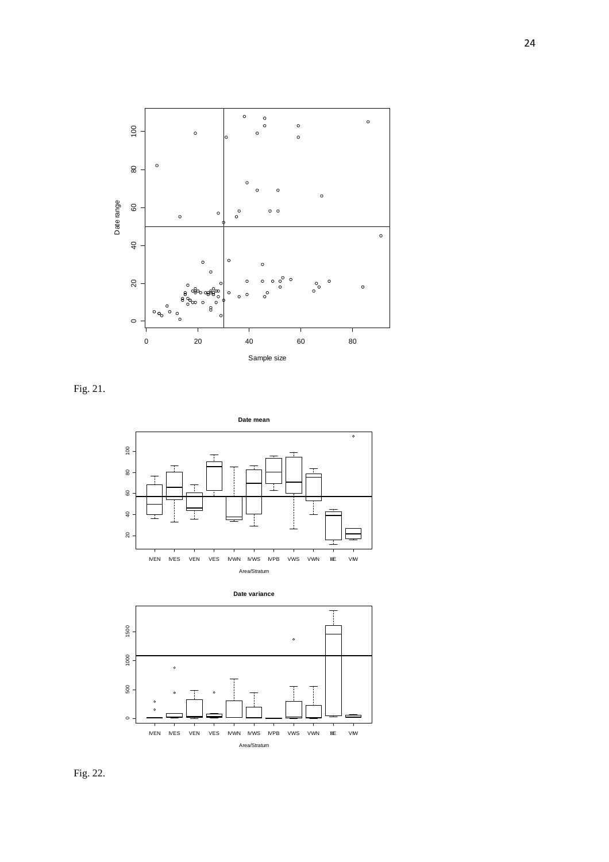

Fig. 21.